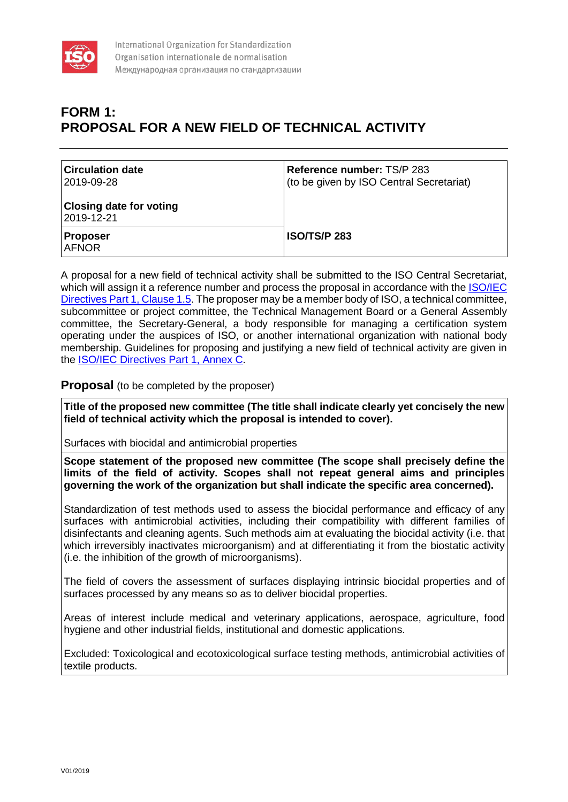

## **FORM 1: PROPOSAL FOR A NEW FIELD OF TECHNICAL ACTIVITY**

| <b>Circulation date</b><br>2019-09-28        | <b>Reference number: TS/P 283</b><br>(to be given by ISO Central Secretariat) |
|----------------------------------------------|-------------------------------------------------------------------------------|
| <b>Closing date for voting</b><br>2019-12-21 |                                                                               |
| <b>Proposer</b><br><b>AFNOR</b>              | <b>ISO/TS/P 283</b>                                                           |

A proposal for a new field of technical activity shall be submitted to the ISO Central Secretariat, which will assign it a reference number and process the proposal in accordance with the ISO/IEC [Directives Part 1, Clause 1.5.](https://www.iso.org/sites/directives/current/consolidated/index.xhtml#_idTextAnchor023) The proposer may be a member body of ISO, a technical committee, subcommittee or project committee, the Technical Management Board or a General Assembly committee, the Secretary-General, a body responsible for managing a certification system operating under the auspices of ISO, or another international organization with national body membership. Guidelines for proposing and justifying a new field of technical activity are given in the [ISO/IEC Directives Part 1, Annex C.](https://www.iso.org/sites/directives/current/consolidated/index.xhtml#_idTextAnchor329)

## **Proposal** (to be completed by the proposer)

**Title of the proposed new committee (The title shall indicate clearly yet concisely the new field of technical activity which the proposal is intended to cover).**

Surfaces with biocidal and antimicrobial properties

**Scope statement of the proposed new committee (The scope shall precisely define the limits of the field of activity. Scopes shall not repeat general aims and principles governing the work of the organization but shall indicate the specific area concerned).**

Standardization of test methods used to assess the biocidal performance and efficacy of any surfaces with antimicrobial activities, including their compatibility with different families of disinfectants and cleaning agents. Such methods aim at evaluating the biocidal activity (i.e. that which irreversibly inactivates microorganism) and at differentiating it from the biostatic activity (i.e. the inhibition of the growth of microorganisms).

The field of covers the assessment of surfaces displaying intrinsic biocidal properties and of surfaces processed by any means so as to deliver biocidal properties.

Areas of interest include medical and veterinary applications, aerospace, agriculture, food hygiene and other industrial fields, institutional and domestic applications.

Excluded: Toxicological and ecotoxicological surface testing methods, antimicrobial activities of textile products.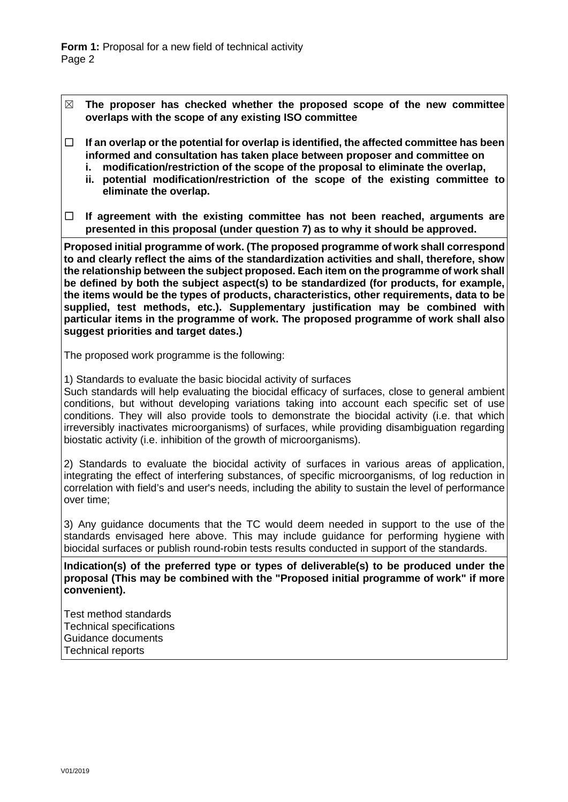- ☒ **The proposer has checked whether the proposed scope of the new committee overlaps with the scope of any existing ISO committee**
- ☐ **If an overlap or the potential for overlap is identified, the affected committee has been informed and consultation has taken place between proposer and committee on** 
	- **i. modification/restriction of the scope of the proposal to eliminate the overlap,**
	- **ii. potential modification/restriction of the scope of the existing committee to eliminate the overlap.**
- ☐ **If agreement with the existing committee has not been reached, arguments are presented in this proposal (under question 7) as to why it should be approved.**

**Proposed initial programme of work. (The proposed programme of work shall correspond to and clearly reflect the aims of the standardization activities and shall, therefore, show the relationship between the subject proposed. Each item on the programme of work shall be defined by both the subject aspect(s) to be standardized (for products, for example, the items would be the types of products, characteristics, other requirements, data to be supplied, test methods, etc.). Supplementary justification may be combined with particular items in the programme of work. The proposed programme of work shall also suggest priorities and target dates.)**

The proposed work programme is the following:

1) Standards to evaluate the basic biocidal activity of surfaces

Such standards will help evaluating the biocidal efficacy of surfaces, close to general ambient conditions, but without developing variations taking into account each specific set of use conditions. They will also provide tools to demonstrate the biocidal activity (i.e. that which irreversibly inactivates microorganisms) of surfaces, while providing disambiguation regarding biostatic activity (i.e. inhibition of the growth of microorganisms).

2) Standards to evaluate the biocidal activity of surfaces in various areas of application, integrating the effect of interfering substances, of specific microorganisms, of log reduction in correlation with field's and user's needs, including the ability to sustain the level of performance over time;

3) Any guidance documents that the TC would deem needed in support to the use of the standards envisaged here above. This may include guidance for performing hygiene with biocidal surfaces or publish round-robin tests results conducted in support of the standards.

**Indication(s) of the preferred type or types of deliverable(s) to be produced under the proposal (This may be combined with the "Proposed initial programme of work" if more convenient).**

Test method standards Technical specifications Guidance documents Technical reports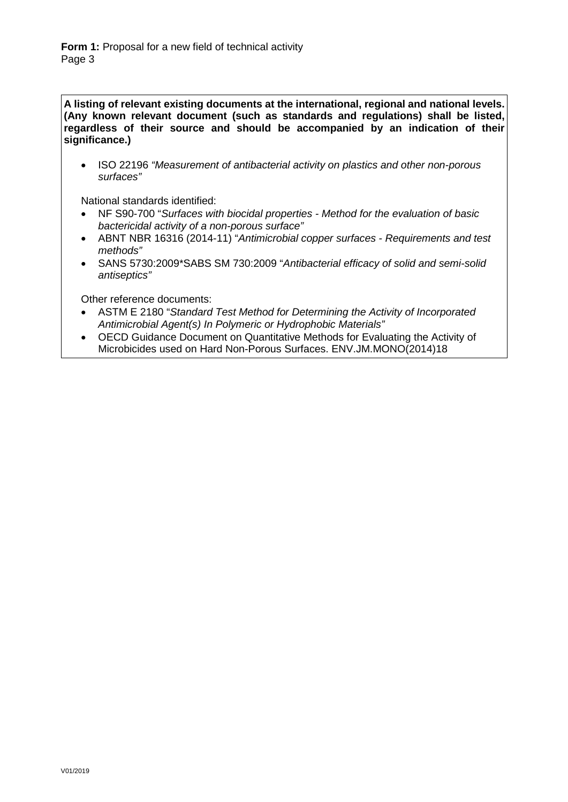**A listing of relevant existing documents at the international, regional and national levels. (Any known relevant document (such as standards and regulations) shall be listed, regardless of their source and should be accompanied by an indication of their significance.)**

• ISO 22196 *"Measurement of antibacterial activity on plastics and other non-porous surfaces"*

National standards identified:

- NF S90-700 "*Surfaces with biocidal properties - Method for the evaluation of basic bactericidal activity of a non-porous surface"*
- ABNT NBR 16316 (2014-11) "*Antimicrobial copper surfaces - Requirements and test methods"*
- SANS 5730:2009\*SABS SM 730:2009 "*Antibacterial efficacy of solid and semi-solid antiseptics"*

Other reference documents:

- ASTM E 2180 "*Standard Test Method for Determining the Activity of Incorporated Antimicrobial Agent(s) In Polymeric or Hydrophobic Materials"*
- OECD Guidance Document on Quantitative Methods for Evaluating the Activity of Microbicides used on Hard Non-Porous Surfaces. ENV.JM.MONO(2014)18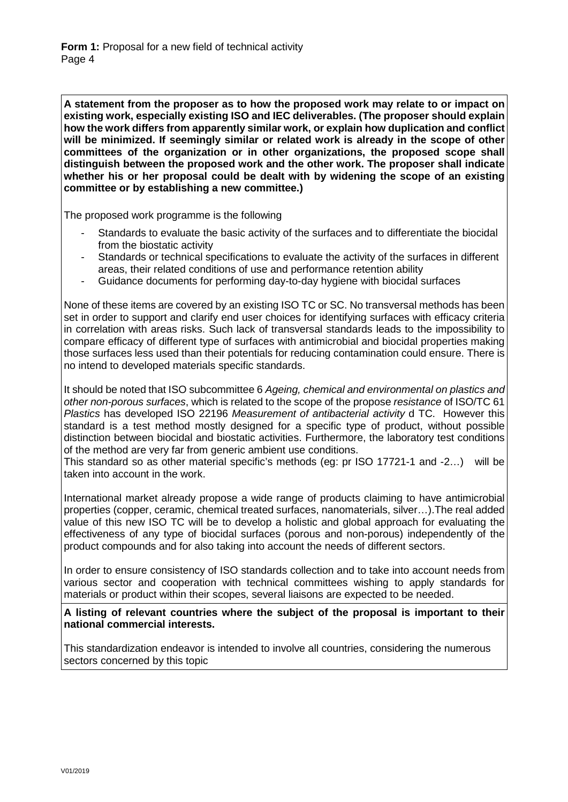**A statement from the proposer as to how the proposed work may relate to or impact on existing work, especially existing ISO and IEC deliverables. (The proposer should explain how the work differs from apparently similar work, or explain how duplication and conflict will be minimized. If seemingly similar or related work is already in the scope of other committees of the organization or in other organizations, the proposed scope shall distinguish between the proposed work and the other work. The proposer shall indicate whether his or her proposal could be dealt with by widening the scope of an existing committee or by establishing a new committee.)**

The proposed work programme is the following

- Standards to evaluate the basic activity of the surfaces and to differentiate the biocidal from the biostatic activity
- Standards or technical specifications to evaluate the activity of the surfaces in different areas, their related conditions of use and performance retention ability
- Guidance documents for performing day-to-day hygiene with biocidal surfaces

None of these items are covered by an existing ISO TC or SC. No transversal methods has been set in order to support and clarify end user choices for identifying surfaces with efficacy criteria in correlation with areas risks. Such lack of transversal standards leads to the impossibility to compare efficacy of different type of surfaces with antimicrobial and biocidal properties making those surfaces less used than their potentials for reducing contamination could ensure. There is no intend to developed materials specific standards.

It should be noted that ISO subcommittee 6 *Ageing, chemical and environmental on plastics and other non-porous surfaces*, which is related to the scope of the propose *resistance* of ISO/TC 61 *Plastics* has developed ISO 22196 *Measurement of antibacterial activity* d TC. However this standard is a test method mostly designed for a specific type of product, without possible distinction between biocidal and biostatic activities. Furthermore, the laboratory test conditions of the method are very far from generic ambient use conditions.

This standard so as other material specific's methods (eg: pr ISO 17721-1 and -2…) will be taken into account in the work.

International market already propose a wide range of products claiming to have antimicrobial properties (copper, ceramic, chemical treated surfaces, nanomaterials, silver…).The real added value of this new ISO TC will be to develop a holistic and global approach for evaluating the effectiveness of any type of biocidal surfaces (porous and non-porous) independently of the product compounds and for also taking into account the needs of different sectors.

In order to ensure consistency of ISO standards collection and to take into account needs from various sector and cooperation with technical committees wishing to apply standards for materials or product within their scopes, several liaisons are expected to be needed.

**A listing of relevant countries where the subject of the proposal is important to their national commercial interests.**

This standardization endeavor is intended to involve all countries, considering the numerous sectors concerned by this topic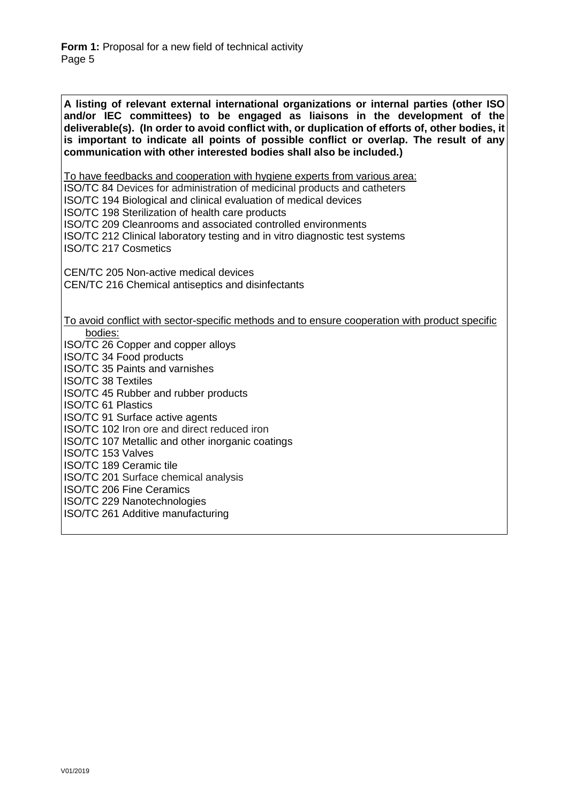**A listing of relevant external international organizations or internal parties (other ISO and/or IEC committees) to be engaged as liaisons in the development of the deliverable(s). (In order to avoid conflict with, or duplication of efforts of, other bodies, it is important to indicate all points of possible conflict or overlap. The result of any communication with other interested bodies shall also be included.)**

*<sup>U</sup>*To have feedbacks and cooperation with hygiene experts from various area:

ISO/TC 84 Devices for administration of medicinal products and catheters

ISO/TC 194 Biological and clinical evaluation of medical devices

ISO/TC 198 Sterilization of health care products

[ISO/TC 209](https://www.iso.org/fr/committee/54874.html) Cleanrooms and associated controlled environments

ISO/TC 212 Clinical laboratory testing and in vitro diagnostic test systems ISO/TC 217 Cosmetics

CEN/TC 205 Non-active medical devices CEN/TC 216 Chemical antiseptics and disinfectants

*<sup>U</sup>*To avoid conflict with sector-specific methods and to ensure cooperation with product specific bodies:

ISO/TC 26 Copper and copper alloys

ISO/TC 34 Food products

ISO/TC 35 Paints and varnishes

ISO/TC 38 Textiles

ISO/TC 45 Rubber and rubber products

ISO/TC 61 Plastics

ISO/TC 91 Surface active agents

ISO/TC 102 Iron ore and direct reduced iron

ISO/TC 107 Metallic and other inorganic coatings

ISO/TC 153 Valves

ISO/TC 189 Ceramic tile

ISO/TC 201 Surface chemical analysis

ISO/TC 206 Fine Ceramics

ISO/TC 229 Nanotechnologies

ISO/TC 261 Additive manufacturing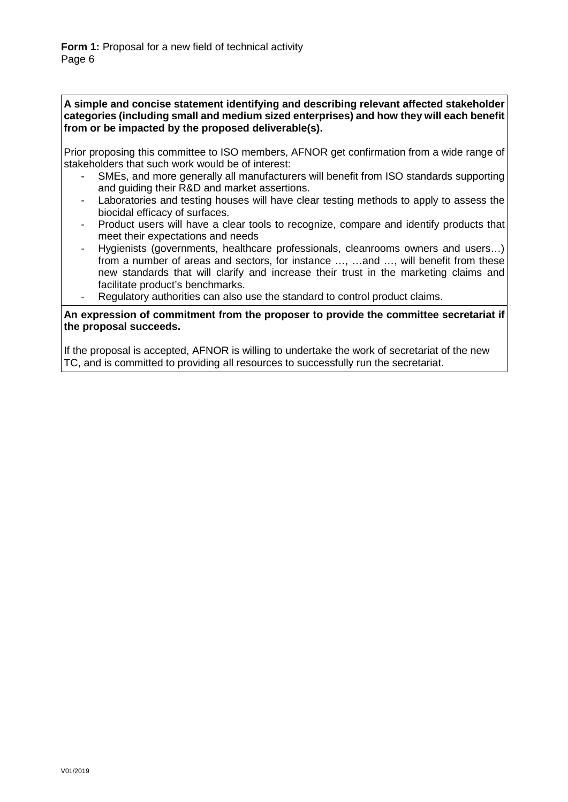**A simple and concise statement identifying and describing relevant affected stakeholder categories (including small and medium sized enterprises) and how they will each benefit from or be impacted by the proposed deliverable(s).**

Prior proposing this committee to ISO members, AFNOR get confirmation from a wide range of stakeholders that such work would be of interest:

- SMEs, and more generally all manufacturers will benefit from ISO standards supporting and guiding their R&D and market assertions.
- Laboratories and testing houses will have clear testing methods to apply to assess the biocidal efficacy of surfaces.
- Product users will have a clear tools to recognize, compare and identify products that meet their expectations and needs
- Hygienists (governments, healthcare professionals, cleanrooms owners and users...) from a number of areas and sectors, for instance …, …and …, will benefit from these new standards that will clarify and increase their trust in the marketing claims and facilitate product's benchmarks.
- Regulatory authorities can also use the standard to control product claims.

**An expression of commitment from the proposer to provide the committee secretariat if the proposal succeeds.**

If the proposal is accepted, AFNOR is willing to undertake the work of secretariat of the new TC, and is committed to providing all resources to successfully run the secretariat.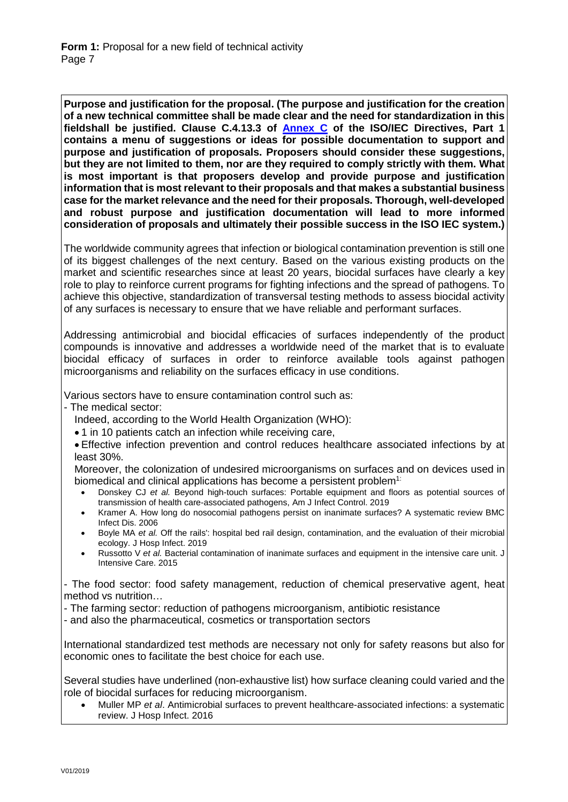**Purpose and justification for the proposal. (The purpose and justification for the creation of a new technical committee shall be made clear and the need for standardization in this fieldshall be justified. Clause C.4.13.3 of [Annex C](https://www.iso.org/sites/directives/current/part1/index.xhtml#_idTextAnchor310) of the ISO/IEC Directives, Part 1 contains a menu of suggestions or ideas for possible documentation to support and purpose and justification of proposals. Proposers should consider these suggestions, but they are not limited to them, nor are they required to comply strictly with them. What is most important is that proposers develop and provide purpose and justification information that is most relevant to their proposals and that makes a substantial business case for the market relevance and the need for their proposals. Thorough, well-developed and robust purpose and justification documentation will lead to more informed consideration of proposals and ultimately their possible success in the ISO IEC system.)**

The worldwide community agrees that infection or biological contamination prevention is still one of its biggest challenges of the next century. Based on the various existing products on the market and scientific researches since at least 20 years, biocidal surfaces have clearly a key role to play to reinforce current programs for fighting infections and the spread of pathogens. To achieve this objective, standardization of transversal testing methods to assess biocidal activity of any surfaces is necessary to ensure that we have reliable and performant surfaces.

Addressing antimicrobial and biocidal efficacies of surfaces independently of the product compounds is innovative and addresses a worldwide need of the market that is to evaluate biocidal efficacy of surfaces in order to reinforce available tools against pathogen microorganisms and reliability on the surfaces efficacy in use conditions.

Various sectors have to ensure contamination control such as:

- The medical sector:

Indeed, according to the World Health Organization (WHO):

• 1 in 10 patients catch an infection while receiving care,

• Effective infection prevention and control reduces healthcare associated infections by at least 30%.

Moreover, the colonization of undesired microorganisms on surfaces and on devices used in biomedical and clinical applications has become a persistent problem<sup>1:</sup>

- Donskey CJ *et al.* Beyond high-touch surfaces: Portable equipment and floors as potential sources of transmission of health care-associated pathogens, Am J Infect Control. 2019
- Kramer A. How long do nosocomial pathogens persist on inanimate surfaces? A systematic review BMC Infect Dis. 2006
- Boyle MA *et al.* Off the rails': hospital bed rail design, contamination, and the evaluation of their microbial ecology. J Hosp Infect. 2019
- Russotto V *et al.* Bacterial contamination of inanimate surfaces and equipment in the intensive care unit. J Intensive Care. 2015

- The food sector: food safety management, reduction of chemical preservative agent, heat method vs nutrition…

- The farming sector: reduction of pathogens microorganism, antibiotic resistance

- and also the pharmaceutical, cosmetics or transportation sectors

International standardized test methods are necessary not only for safety reasons but also for economic ones to facilitate the best choice for each use.

Several studies have underlined (non-exhaustive list) how surface cleaning could varied and the role of biocidal surfaces for reducing microorganism.

• Muller MP *et al*. Antimicrobial surfaces to prevent healthcare-associated infections: a systematic review. J Hosp Infect. 2016